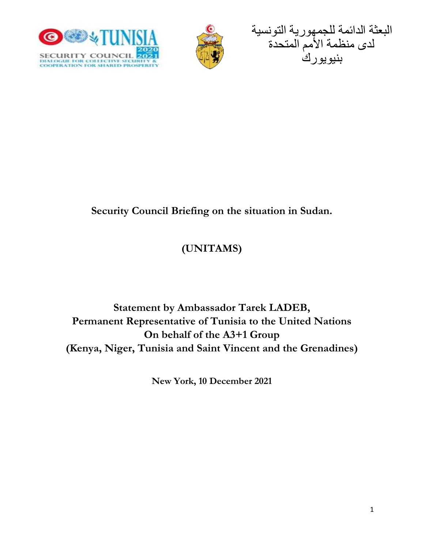





## **Security Council Briefing on the situation in Sudan.**

# **(UNITAMS)**

## **Statement by Ambassador Tarek LADEB, Permanent Representative of Tunisia to the United Nations On behalf of the A3+1 Group (Kenya, Niger, Tunisia and Saint Vincent and the Grenadines)**

**New York, 10 December 2021**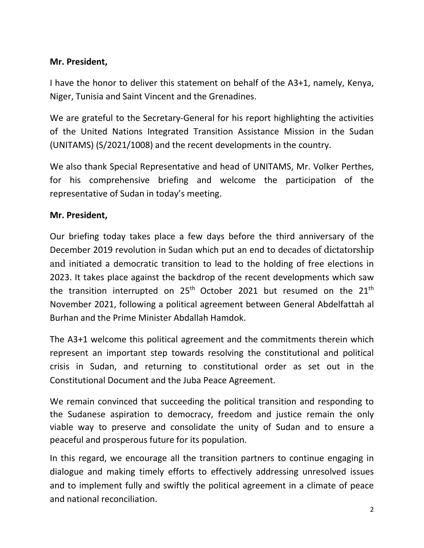## **Mr. President,**

I have the honor to deliver this statement on behalf of the A3+1, namely, Kenya, Niger, Tunisia and Saint Vincent and the Grenadines.

We are grateful to the Secretary-General for his report highlighting the activities of the United Nations Integrated Transition Assistance Mission in the Sudan (UNITAMS) (S/2021/1008) and the recent developments in the country.

We also thank Special Representative and head of UNITAMS, Mr. Volker Perthes, for his comprehensive briefing and welcome the participation of the representative of Sudan in today's meeting.

#### **Mr. President,**

Our briefing today takes place a few days before the third anniversary of the December 2019 revolution in Sudan which put an end to decades of dictatorship and initiated a democratic transition to lead to the holding of free elections in 2023. It takes place against the backdrop of the recent developments which saw the transition interrupted on  $25^{th}$  October 2021 but resumed on the  $21^{th}$ November 2021, following a political agreement between General Abdelfattah al Burhan and the Prime Minister Abdallah Hamdok.

The A3+1 welcome this political agreement and the commitments therein which represent an important step towards resolving the constitutional and political crisis in Sudan, and returning to constitutional order as set out in the Constitutional Document and the Juba Peace Agreement.

We remain convinced that succeeding the political transition and responding to the Sudanese aspiration to democracy, freedom and justice remain the only viable way to preserve and consolidate the unity of Sudan and to ensure a peaceful and prosperous future for its population.

In this regard, we encourage all the transition partners to continue engaging in dialogue and making timely efforts to effectively addressing unresolved issues and to implement fully and swiftly the political agreement in a climate of peace and national reconciliation.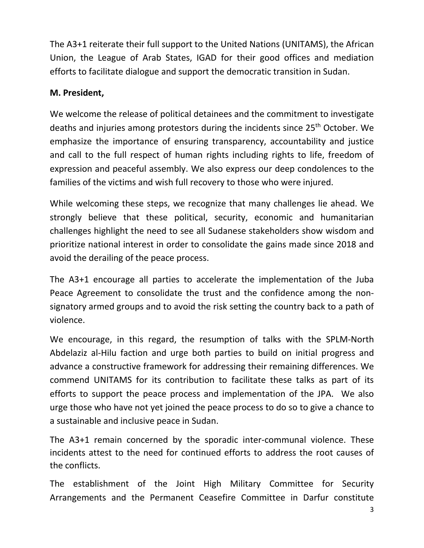The A3+1 reiterate their full support to the United Nations (UNITAMS), the African Union, the League of Arab States, IGAD for their good offices and mediation efforts to facilitate dialogue and support the democratic transition in Sudan.

### **M. President,**

We welcome the release of political detainees and the commitment to investigate deaths and injuries among protestors during the incidents since 25<sup>th</sup> October. We emphasize the importance of ensuring transparency, accountability and justice and call to the full respect of human rights including rights to life, freedom of expression and peaceful assembly. We also express our deep condolences to the families of the victims and wish full recovery to those who were injured.

While welcoming these steps, we recognize that many challenges lie ahead. We strongly believe that these political, security, economic and humanitarian challenges highlight the need to see all Sudanese stakeholders show wisdom and prioritize national interest in order to consolidate the gains made since 2018 and avoid the derailing of the peace process.

The A3+1 encourage all parties to accelerate the implementation of the Juba Peace Agreement to consolidate the trust and the confidence among the nonsignatory armed groups and to avoid the risk setting the country back to a path of violence.

We encourage, in this regard, the resumption of talks with the SPLM-North Abdelaziz al-Hilu faction and urge both parties to build on initial progress and advance a constructive framework for addressing their remaining differences. We commend UNITAMS for its contribution to facilitate these talks as part of its efforts to support the peace process and implementation of the JPA. We also urge those who have not yet joined the peace process to do so to give a chance to a sustainable and inclusive peace in Sudan.

The A3+1 remain concerned by the sporadic inter-communal violence. These incidents attest to the need for continued efforts to address the root causes of the conflicts.

The establishment of the Joint High Military Committee for Security Arrangements and the Permanent Ceasefire Committee in Darfur constitute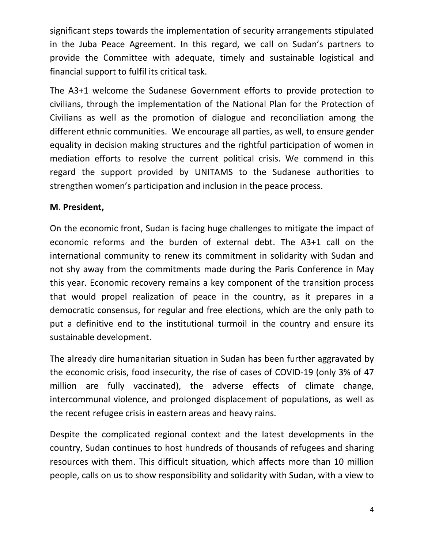significant steps towards the implementation of security arrangements stipulated in the Juba Peace Agreement. In this regard, we call on Sudan's partners to provide the Committee with adequate, timely and sustainable logistical and financial support to fulfil its critical task.

The A3+1 welcome the Sudanese Government efforts to provide protection to civilians, through the implementation of the National Plan for the Protection of Civilians as well as the promotion of dialogue and reconciliation among the different ethnic communities. We encourage all parties, as well, to ensure gender equality in decision making structures and the rightful participation of women in mediation efforts to resolve the current political crisis. We commend in this regard the support provided by UNITAMS to the Sudanese authorities to strengthen women's participation and inclusion in the peace process.

## **M. President,**

On the economic front, Sudan is facing huge challenges to mitigate the impact of economic reforms and the burden of external debt. The A3+1 call on the international community to renew its commitment in solidarity with Sudan and not shy away from the commitments made during the Paris Conference in May this year. Economic recovery remains a key component of the transition process that would propel realization of peace in the country, as it prepares in a democratic consensus, for regular and free elections, which are the only path to put a definitive end to the institutional turmoil in the country and ensure its sustainable development.

The already dire humanitarian situation in Sudan has been further aggravated by the economic crisis, food insecurity, the rise of cases of COVID-19 (only 3% of 47 million are fully vaccinated), the adverse effects of climate change, intercommunal violence, and prolonged displacement of populations, as well as the recent refugee crisis in eastern areas and heavy rains.

Despite the complicated regional context and the latest developments in the country, Sudan continues to host hundreds of thousands of refugees and sharing resources with them. This difficult situation, which affects more than 10 million people, calls on us to show responsibility and solidarity with Sudan, with a view to